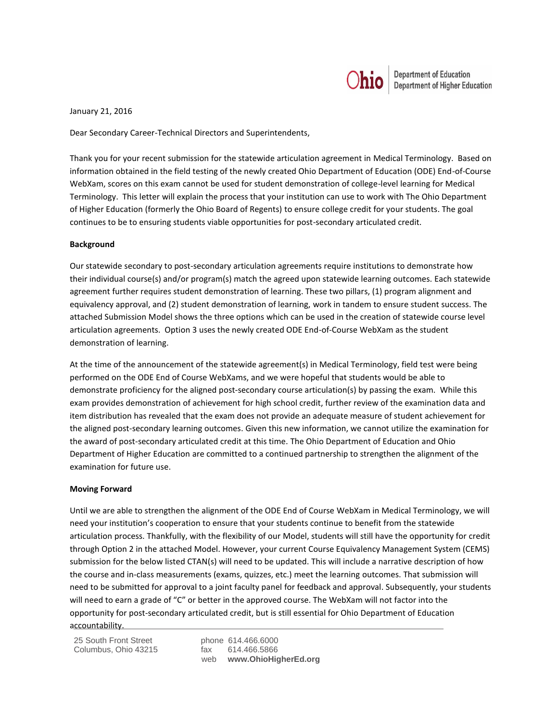

January 21, 2016

Dear Secondary Career-Technical Directors and Superintendents,

Thank you for your recent submission for the statewide articulation agreement in Medical Terminology. Based on information obtained in the field testing of the newly created Ohio Department of Education (ODE) End-of-Course WebXam, scores on this exam cannot be used for student demonstration of college-level learning for Medical Terminology. This letter will explain the process that your institution can use to work with The Ohio Department of Higher Education (formerly the Ohio Board of Regents) to ensure college credit for your students. The goal continues to be to ensuring students viable opportunities for post-secondary articulated credit.

## **Background**

Our statewide secondary to post-secondary articulation agreements require institutions to demonstrate how their individual course(s) and/or program(s) match the agreed upon statewide learning outcomes. Each statewide agreement further requires student demonstration of learning. These two pillars, (1) program alignment and equivalency approval, and (2) student demonstration of learning, work in tandem to ensure student success. The attached Submission Model shows the three options which can be used in the creation of statewide course level articulation agreements. Option 3 uses the newly created ODE End-of-Course WebXam as the student demonstration of learning.

At the time of the announcement of the statewide agreement(s) in Medical Terminology, field test were being performed on the ODE End of Course WebXams, and we were hopeful that students would be able to demonstrate proficiency for the aligned post-secondary course articulation(s) by passing the exam. While this exam provides demonstration of achievement for high school credit, further review of the examination data and item distribution has revealed that the exam does not provide an adequate measure of student achievement for the aligned post-secondary learning outcomes. Given this new information, we cannot utilize the examination for the award of post-secondary articulated credit at this time. The Ohio Department of Education and Ohio Department of Higher Education are committed to a continued partnership to strengthen the alignment of the examination for future use.

## **Moving Forward**

Until we are able to strengthen the alignment of the ODE End of Course WebXam in Medical Terminology, we will need your institution's cooperation to ensure that your students continue to benefit from the statewide articulation process. Thankfully, with the flexibility of our Model, students will still have the opportunity for credit through Option 2 in the attached Model. However, your current Course Equivalency Management System (CEMS) submission for the below listed CTAN(s) will need to be updated. This will include a narrative description of how the course and in-class measurements (exams, quizzes, etc.) meet the learning outcomes. That submission will need to be submitted for approval to a joint faculty panel for feedback and approval. Subsequently, your students will need to earn a grade of "C" or better in the approved course. The WebXam will not factor into the opportunity for post-secondary articulated credit, but is still essential for Ohio Department of Education accountability.

25 South Front Street phone 614.466.6000 Columbus, Ohio 43215

web **www.OhioHigherEd.org**